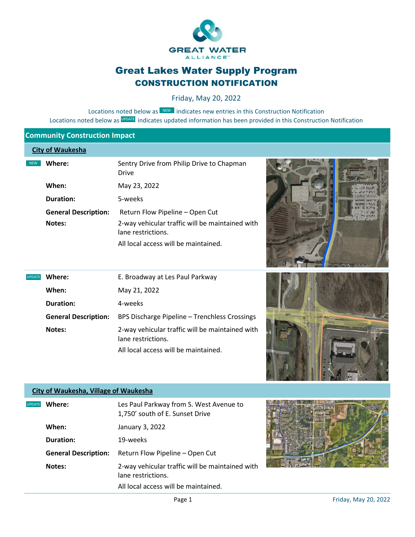

# Great Lakes Water Supply Program CONSTRUCTION NOTIFICATION

Friday, May 20, 2022

Locations noted below as **NEW** indicates new entries in this Construction Notification Locations noted below as UPDATE indicates updated information has been provided in this Construction Notification

## **Community Construction Impact**

#### **City of Waukesha**

NEW

| Where:                      | Sentry Drive from Philip Drive to Chapman<br>Drive                    |
|-----------------------------|-----------------------------------------------------------------------|
| When:                       | May 23, 2022                                                          |
| <b>Duration:</b>            | 5-weeks                                                               |
| <b>General Description:</b> | Return Flow Pipeline – Open Cut                                       |
| Notes:                      | 2-way vehicular traffic will be maintained with<br>lane restrictions. |
|                             | All local access will be maintained.                                  |



| <b>UPDATE</b> | Where:                      | E. Broadway at Les Paul Parkway                                       |
|---------------|-----------------------------|-----------------------------------------------------------------------|
|               | When:                       | May 21, 2022                                                          |
|               | <b>Duration:</b>            | 4-weeks                                                               |
|               | <b>General Description:</b> | BPS Discharge Pipeline - Trenchless Crossings                         |
|               | Notes:                      | 2-way vehicular traffic will be maintained with<br>lane restrictions. |
|               |                             | All local access will be maintained.                                  |

#### **City of Waukesha, Village of Waukesha**

| <b>UPDATE</b> | Where:                      | Les Paul Parkway from S. West Avenue to<br>1,750' south of E. Sunset Drive |
|---------------|-----------------------------|----------------------------------------------------------------------------|
|               | When:                       | January 3, 2022                                                            |
|               | <b>Duration:</b>            | 19-weeks                                                                   |
|               | <b>General Description:</b> | Return Flow Pipeline – Open Cut                                            |
|               | <b>Notes:</b>               | 2-way vehicular traffic will be maintained with<br>lane restrictions.      |
|               |                             | All local access will be maintained.                                       |

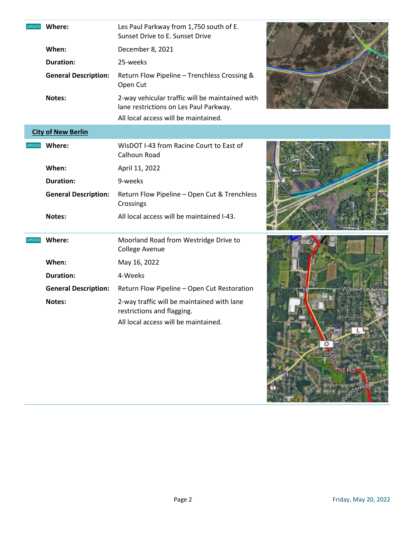| <b>UPDATE</b> | Where:                      | Les Paul Parkway from 1,750 south of E.<br>Sunset Drive to E. Sunset Drive                |              |
|---------------|-----------------------------|-------------------------------------------------------------------------------------------|--------------|
|               | When:                       | December 8, 2021                                                                          |              |
|               | <b>Duration:</b>            | 25-weeks                                                                                  |              |
|               | <b>General Description:</b> | Return Flow Pipeline - Trenchless Crossing &<br>Open Cut                                  |              |
|               | Notes:                      | 2-way vehicular traffic will be maintained with<br>lane restrictions on Les Paul Parkway. |              |
|               |                             | All local access will be maintained.                                                      |              |
|               | <b>City of New Berlin</b>   |                                                                                           |              |
| <b>UPDATE</b> | Where:                      | WisDOT I-43 from Racine Court to East of<br>Calhoun Road                                  |              |
|               | When:                       | April 11, 2022                                                                            |              |
|               | <b>Duration:</b>            | 9-weeks                                                                                   |              |
|               | <b>General Description:</b> | Return Flow Pipeline - Open Cut & Trenchless<br>Crossings                                 |              |
|               | Notes:                      | All local access will be maintained I-43.                                                 |              |
| <b>UPDATE</b> | Where:                      | Moorland Road from Westridge Drive to<br><b>College Avenue</b>                            |              |
|               | When:                       | May 16, 2022                                                                              |              |
|               | <b>Duration:</b>            | 4-Weeks                                                                                   |              |
|               | <b>General Description:</b> | Return Flow Pipeline - Open Cut Restoration                                               | Waukeshattir |
|               | Notes:                      | 2-way traffic will be maintained with lane<br>restrictions and flagging.                  |              |
|               |                             | All local access will be maintained.                                                      |              |

H R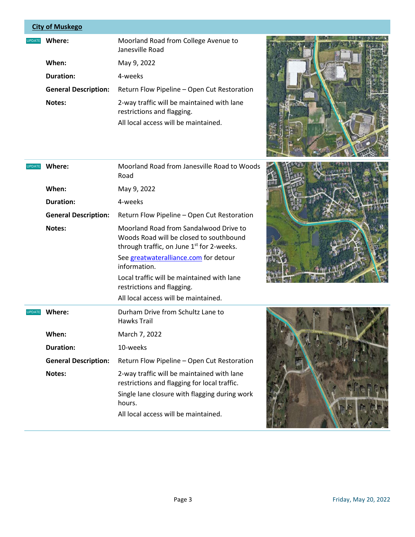## **City of Muskego**

| <b>UPDATE</b> | Where:                      | Moorland Road from College Avenue to<br>Janesville Road                  |
|---------------|-----------------------------|--------------------------------------------------------------------------|
|               | When:                       | May 9, 2022                                                              |
|               | <b>Duration:</b>            | 4-weeks                                                                  |
|               | <b>General Description:</b> | Return Flow Pipeline - Open Cut Restoration                              |
|               | Notes:                      | 2-way traffic will be maintained with lane<br>restrictions and flagging. |
|               |                             | All local access will be maintained.                                     |





| Where:<br><b>UPDATE</b><br>Road |                             | Moorland Road from Janesville Road to Woods                                                                                                                                         |  |
|---------------------------------|-----------------------------|-------------------------------------------------------------------------------------------------------------------------------------------------------------------------------------|--|
|                                 | When:                       | May 9, 2022                                                                                                                                                                         |  |
|                                 | <b>Duration:</b>            | 4-weeks                                                                                                                                                                             |  |
|                                 | <b>General Description:</b> | Return Flow Pipeline - Open Cut Restoration                                                                                                                                         |  |
|                                 | Notes:                      | Moorland Road from Sandalwood Drive to<br>Woods Road will be closed to southbound<br>through traffic, on June 1 <sup>st</sup> for 2-weeks.<br>See greatwateralliance.com for detour |  |
|                                 |                             | information.<br>Local traffic will be maintained with lane<br>restrictions and flagging.<br>All local access will be maintained.                                                    |  |
|                                 |                             |                                                                                                                                                                                     |  |
| <b>UPDATE</b>                   | Where:                      | Durham Drive from Schultz Lane to<br><b>Hawks Trail</b>                                                                                                                             |  |
|                                 | When:                       | March 7, 2022                                                                                                                                                                       |  |
|                                 | <b>Duration:</b>            | 10-weeks                                                                                                                                                                            |  |
|                                 | <b>General Description:</b> | Return Flow Pipeline - Open Cut Restoration                                                                                                                                         |  |

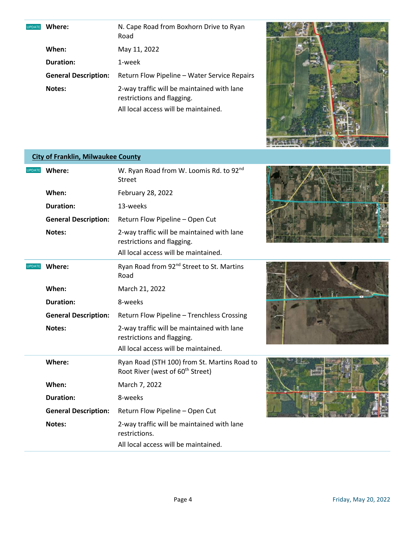**UPDATE** Where:

**Where:** N. Cape Road from Boxhorn Drive to Ryan Road **When:** May 11, 2022

**Duration:** 1-week

**General Description:** Return Flow Pipeline – Water Service Repairs **Notes:** 2-way traffic will be maintained with lane restrictions and flagging. All local access will be maintained.



### **City of Franklin, Milwaukee County**

| <b>UPDATE</b>                   | Where:                      | W. Ryan Road from W. Loomis Rd. to 92nd<br><b>Street</b>                                                         |
|---------------------------------|-----------------------------|------------------------------------------------------------------------------------------------------------------|
|                                 | When:                       | February 28, 2022                                                                                                |
|                                 | <b>Duration:</b>            | 13-weeks                                                                                                         |
|                                 | <b>General Description:</b> | Return Flow Pipeline - Open Cut                                                                                  |
|                                 | Notes:                      | 2-way traffic will be maintained with lane<br>restrictions and flagging.<br>All local access will be maintained. |
| Where:<br><b>UPDATE</b><br>Road |                             | Ryan Road from 92 <sup>nd</sup> Street to St. Martins                                                            |
|                                 | When:                       | March 21, 2022                                                                                                   |
|                                 | <b>Duration:</b>            | 8-weeks                                                                                                          |
|                                 | <b>General Description:</b> | Return Flow Pipeline - Trenchless Crossing                                                                       |
|                                 | <b>Notes:</b>               | 2-way traffic will be maintained with lane<br>restrictions and flagging.                                         |
|                                 |                             | All local access will be maintained.                                                                             |
|                                 | Where:                      | Ryan Road (STH 100) from St. Martins Road to<br>Root River (west of 60 <sup>th</sup> Street)                     |
|                                 | When:                       | March 7, 2022                                                                                                    |
|                                 | Duration:                   | 8-weeks                                                                                                          |
|                                 | <b>General Description:</b> | Return Flow Pipeline - Open Cut                                                                                  |
|                                 | Notes:                      | 2-way traffic will be maintained with lane<br>restrictions.                                                      |
|                                 |                             | All local access will be maintained.                                                                             |





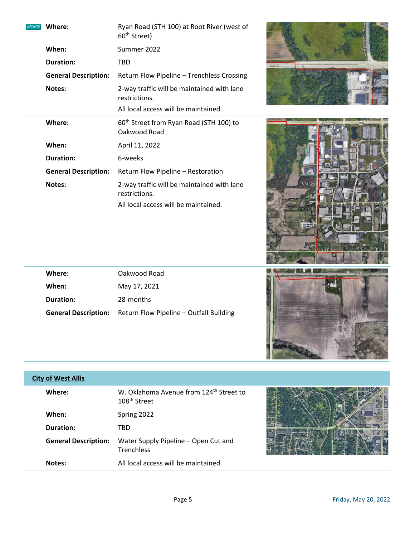| Ryan Road (STH 100) at Root River (west of<br>Where:<br><b>UPDATE</b><br>60 <sup>th</sup> Street)<br>Summer 2022<br>When:<br><b>Duration:</b><br>TBD.<br><b>MATIQUES DR</b><br><b>General Description:</b><br>Return Flow Pipeline - Trenchless Crossing |  |
|----------------------------------------------------------------------------------------------------------------------------------------------------------------------------------------------------------------------------------------------------------|--|
| 2-way traffic will be maintained with lane<br>Notes:<br>restrictions.<br>All local access will be maintained.                                                                                                                                            |  |
| Where:<br>60 <sup>th</sup> Street from Ryan Road (STH 100) to<br>Oakwood Road                                                                                                                                                                            |  |
| When:<br>April 11, 2022                                                                                                                                                                                                                                  |  |
| <b>Duration:</b><br>6-weeks                                                                                                                                                                                                                              |  |
| <b>General Description:</b><br>Return Flow Pipeline - Restoration                                                                                                                                                                                        |  |
| 53132<br>2-way traffic will be maintained with lane<br>Notes:<br>restrictions.<br>All local access will be maintained.                                                                                                                                   |  |

| Where:    | Oakwood Road                                                        |
|-----------|---------------------------------------------------------------------|
| When:     | May 17, 2021                                                        |
| Duration: | 28-months                                                           |
|           | <b>General Description:</b> Return Flow Pipeline – Outfall Building |



| <b>City of West Allis</b>   |                                                                                 |  |
|-----------------------------|---------------------------------------------------------------------------------|--|
| Where:                      | W. Oklahoma Avenue from 124 <sup>th</sup> Street to<br>108 <sup>th</sup> Street |  |
| When:                       | Spring 2022                                                                     |  |
| <b>Duration:</b>            | TBD.                                                                            |  |
| <b>General Description:</b> | Water Supply Pipeline - Open Cut and<br><b>Trenchless</b>                       |  |
| Notes:                      | All local access will be maintained.                                            |  |